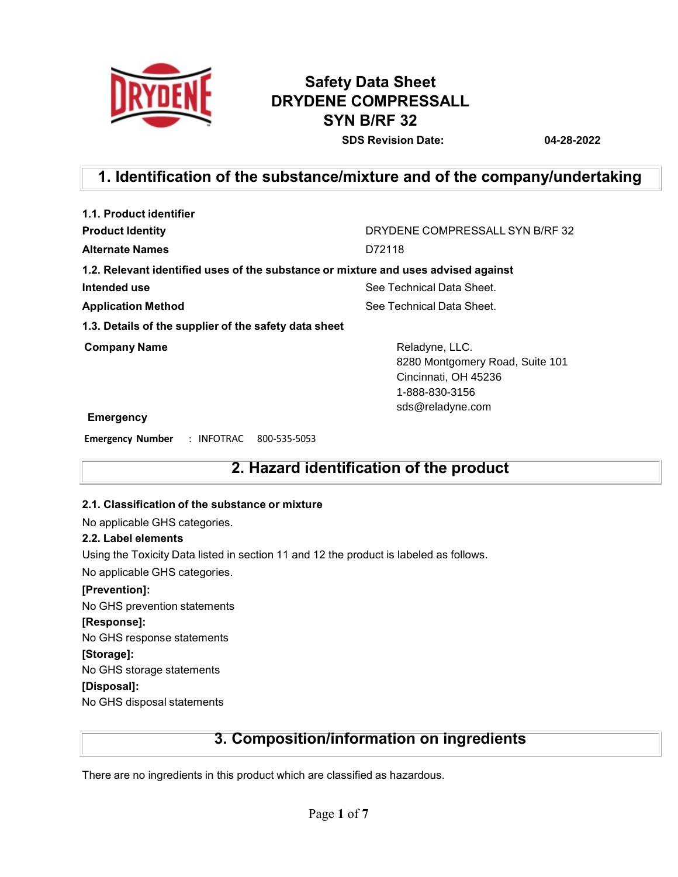

# **Safety Data Sheet DRYDENE COMPRESSALL SYN B/RF 32**

**SDS Revision Date: 04-28-2022**

# **1. Identification of the substance/mixture and of the company/undertaking**

| 1.1. Product identifier                                                            |                                                                                                                 |  |
|------------------------------------------------------------------------------------|-----------------------------------------------------------------------------------------------------------------|--|
| <b>Product Identity</b>                                                            | DRYDENE COMPRESSALL SYN B/RF 32                                                                                 |  |
| <b>Alternate Names</b>                                                             | D72118                                                                                                          |  |
| 1.2. Relevant identified uses of the substance or mixture and uses advised against |                                                                                                                 |  |
| Intended use                                                                       | See Technical Data Sheet.                                                                                       |  |
| <b>Application Method</b>                                                          | See Technical Data Sheet.                                                                                       |  |
| 1.3. Details of the supplier of the safety data sheet                              |                                                                                                                 |  |
| <b>Company Name</b>                                                                | Reladyne, LLC.<br>8280 Montgomery Road, Suite 101<br>Cincinnati, OH 45236<br>1-888-830-3156<br>sds@reladyne.com |  |
| <b>Emergency</b>                                                                   |                                                                                                                 |  |
| <b>Emergency Number</b><br>: INFOTRAC<br>800-535-5053                              |                                                                                                                 |  |

## **2. Hazard identification of the product**

### **2.1. Classification of the substance or mixture**

No applicable GHS categories.

#### **2.2. Label elements**

Using the Toxicity Data listed in section 11 and 12 the product is labeled as follows.

No applicable GHS categories.

**[Prevention]:**

No GHS prevention statements

#### **[Response]:**

No GHS response statements

### **[Storage]:**

No GHS storage statements

### **[Disposal]:**

No GHS disposal statements

### **3. Composition/information on ingredients**

There are no ingredients in this product which are classified as hazardous.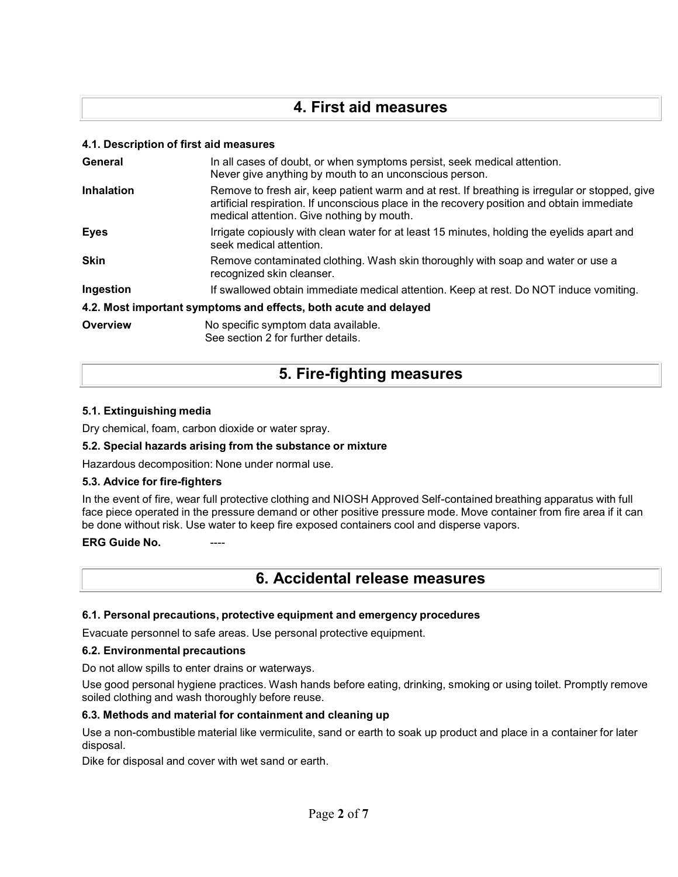## **4. First aid measures**

### **4.1. Description of first aid measures**

| General                                                          | In all cases of doubt, or when symptoms persist, seek medical attention.<br>Never give anything by mouth to an unconscious person.                                                                                                        |  |
|------------------------------------------------------------------|-------------------------------------------------------------------------------------------------------------------------------------------------------------------------------------------------------------------------------------------|--|
| <b>Inhalation</b>                                                | Remove to fresh air, keep patient warm and at rest. If breathing is irregular or stopped, give<br>artificial respiration. If unconscious place in the recovery position and obtain immediate<br>medical attention. Give nothing by mouth. |  |
| <b>Eyes</b>                                                      | Irrigate copiously with clean water for at least 15 minutes, holding the eyelids apart and<br>seek medical attention.                                                                                                                     |  |
| <b>Skin</b>                                                      | Remove contaminated clothing. Wash skin thoroughly with soap and water or use a<br>recognized skin cleanser.                                                                                                                              |  |
| Ingestion                                                        | If swallowed obtain immediate medical attention. Keep at rest. Do NOT induce vomiting.                                                                                                                                                    |  |
| 4.2. Most important symptoms and effects, both acute and delayed |                                                                                                                                                                                                                                           |  |
| Overview                                                         | No specific symptom data available.<br>See section 2 for further details.                                                                                                                                                                 |  |

# **5. Fire-fighting measures**

### **5.1. Extinguishing media**

Dry chemical, foam, carbon dioxide or water spray.

#### **5.2. Special hazards arising from the substance or mixture**

Hazardous decomposition: None under normal use.

#### **5.3. Advice for fire-fighters**

In the event of fire, wear full protective clothing and NIOSH Approved Self-contained breathing apparatus with full face piece operated in the pressure demand or other positive pressure mode. Move container from fire area if it can be done without risk. Use water to keep fire exposed containers cool and disperse vapors.

### **ERG** Guide No.

### **6. Accidental release measures**

#### **6.1. Personal precautions, protective equipment and emergency procedures**

Evacuate personnel to safe areas. Use personal protective equipment.

#### **6.2. Environmental precautions**

Do not allow spills to enter drains or waterways.

Use good personal hygiene practices. Wash hands before eating, drinking, smoking or using toilet. Promptly remove soiled clothing and wash thoroughly before reuse.

### **6.3. Methods and material for containment and cleaning up**

Use a non-combustible material like vermiculite, sand or earth to soak up product and place in a container for later disposal.

Dike for disposal and cover with wet sand or earth.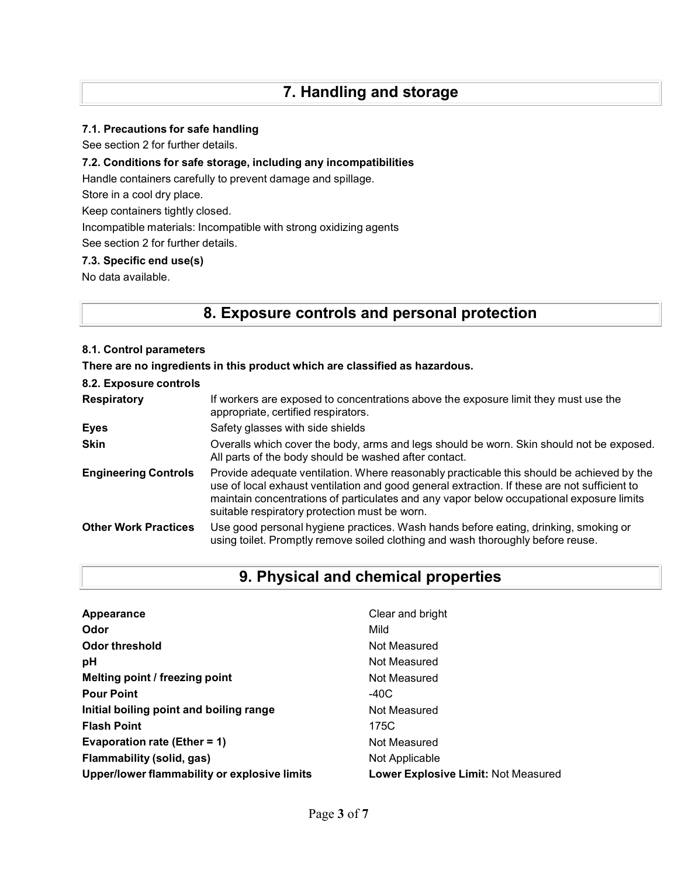### **7.1. Precautions for safe handling**

See section 2 for further details.

### **7.2. Conditions for safe storage, including any incompatibilities**

Handle containers carefully to prevent damage and spillage.

Store in a cool dry place.

Keep containers tightly closed.

Incompatible materials: Incompatible with strong oxidizing agents

See section 2 for further details.

### **7.3. Specific end use(s)**

No data available.

# **8. Exposure controls and personal protection**

### **8.1. Control parameters**

**There are no ingredients in this product which are classified as hazardous.**

| 8.2. Exposure controls      |                                                                                                                                                                                                                                                                                                                                        |
|-----------------------------|----------------------------------------------------------------------------------------------------------------------------------------------------------------------------------------------------------------------------------------------------------------------------------------------------------------------------------------|
| <b>Respiratory</b>          | If workers are exposed to concentrations above the exposure limit they must use the<br>appropriate, certified respirators.                                                                                                                                                                                                             |
| <b>Eyes</b>                 | Safety glasses with side shields                                                                                                                                                                                                                                                                                                       |
| <b>Skin</b>                 | Overalls which cover the body, arms and legs should be worn. Skin should not be exposed.<br>All parts of the body should be washed after contact.                                                                                                                                                                                      |
| <b>Engineering Controls</b> | Provide adequate ventilation. Where reasonably practicable this should be achieved by the<br>use of local exhaust ventilation and good general extraction. If these are not sufficient to<br>maintain concentrations of particulates and any vapor below occupational exposure limits<br>suitable respiratory protection must be worn. |
| <b>Other Work Practices</b> | Use good personal hygiene practices. Wash hands before eating, drinking, smoking or<br>using toilet. Promptly remove soiled clothing and wash thoroughly before reuse.                                                                                                                                                                 |

## **9. Physical and chemical properties**

| Appearance                                   | Clear and bright                           |
|----------------------------------------------|--------------------------------------------|
| Odor                                         | Mild                                       |
| Odor threshold                               | Not Measured                               |
| pH                                           | Not Measured                               |
| Melting point / freezing point               | Not Measured                               |
| <b>Pour Point</b>                            | -40C                                       |
| Initial boiling point and boiling range      | Not Measured                               |
| <b>Flash Point</b>                           | 175C                                       |
| Evaporation rate (Ether = $1$ )              | Not Measured                               |
| Flammability (solid, gas)                    | Not Applicable                             |
| Upper/lower flammability or explosive limits | <b>Lower Explosive Limit: Not Measured</b> |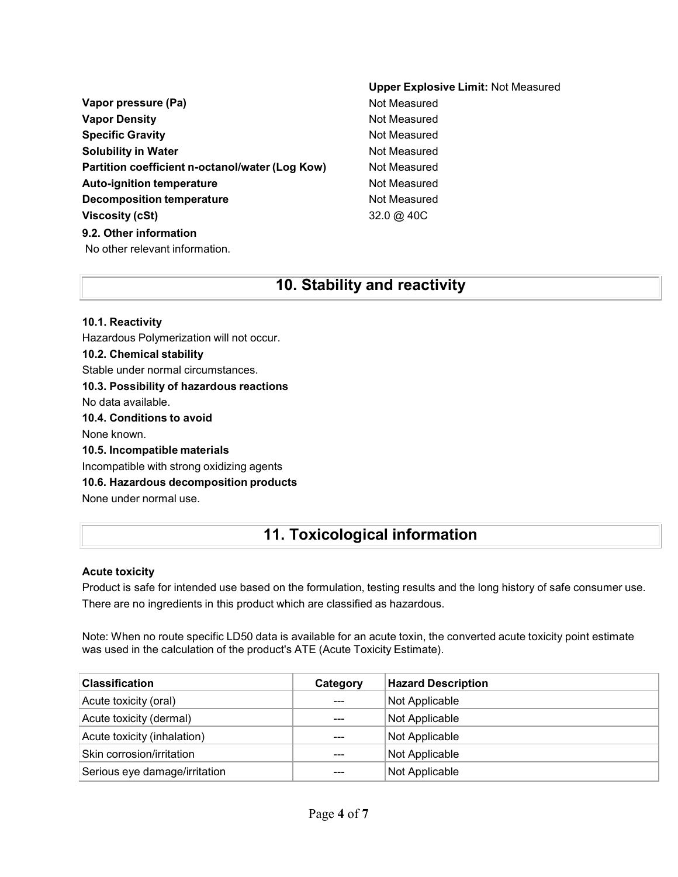| Vapor pressure (Pa)                             |
|-------------------------------------------------|
| <b>Vapor Density</b>                            |
| <b>Specific Gravity</b>                         |
| <b>Solubility in Water</b>                      |
| Partition coefficient n-octanol/water (Log Kow) |
| <b>Auto-ignition temperature</b>                |
| Decomposition temperature                       |
| Viscosity (cSt)                                 |
| 9.2. Other information                          |

### **Upper Explosive Limit:** Not Measured **Not Measured Not Measured Not Measured Not Measured Not Measured Not Measured Not Measured Viscosity (cSt)** 32.0 @ 40C

## No other relevant information.

### **10. Stability and reactivity**

### **10.1. Reactivity** Hazardous Polymerization will not occur. **10.2. Chemical stability** Stable under normal circumstances. **10.3. Possibility of hazardous reactions** No data available. **10.4. Conditions to avoid** None known. **10.5. Incompatible materials** Incompatible with strong oxidizing agents **10.6. Hazardous decomposition products** None under normal use.

# **11. Toxicological information**

### **Acute toxicity**

Product is safe for intended use based on the formulation, testing results and the long history of safe consumer use. There are no ingredients in this product which are classified as hazardous.

Note: When no route specific LD50 data is available for an acute toxin, the converted acute toxicity point estimate was used in the calculation of the product's ATE (Acute Toxicity Estimate).

| <b>Classification</b>         | Category | <b>Hazard Description</b> |
|-------------------------------|----------|---------------------------|
| Acute toxicity (oral)         | $- - -$  | Not Applicable            |
| Acute toxicity (dermal)       | ---      | Not Applicable            |
| Acute toxicity (inhalation)   | $- - -$  | Not Applicable            |
| Skin corrosion/irritation     | ---      | Not Applicable            |
| Serious eye damage/irritation |          | Not Applicable            |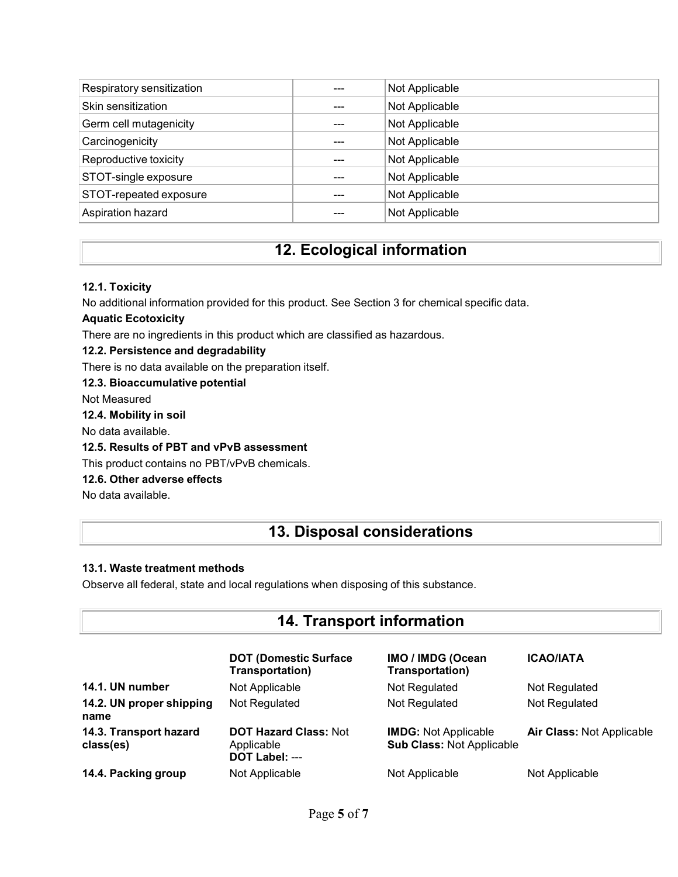| Respiratory sensitization | --- | Not Applicable |
|---------------------------|-----|----------------|
| Skin sensitization        |     | Not Applicable |
| Germ cell mutagenicity    | --- | Not Applicable |
| Carcinogenicity           |     | Not Applicable |
| Reproductive toxicity     | --- | Not Applicable |
| STOT-single exposure      | --- | Not Applicable |
| STOT-repeated exposure    |     | Not Applicable |
| Aspiration hazard         |     | Not Applicable |

# **12. Ecological information**

### **12.1. Toxicity**

No additional information provided for this product. See Section 3 for chemical specific data.

### **Aquatic Ecotoxicity**

There are no ingredients in this product which are classified as hazardous.

### **12.2. Persistence and degradability**

There is no data available on the preparation itself.

**12.3. Bioaccumulative potential**

Not Measured

### **12.4. Mobility in soil**

No data available.

### **12.5. Results of PBT and vPvB assessment**

This product contains no PBT/vPvB chemicals.

### **12.6. Other adverse effects**

No data available.

# **13. Disposal considerations**

### **13.1. Waste treatment methods**

Observe all federal, state and local regulations when disposing of this substance.

| <b>14. Transport information</b>    |                                                              |                                                                 |                           |
|-------------------------------------|--------------------------------------------------------------|-----------------------------------------------------------------|---------------------------|
|                                     | <b>DOT (Domestic Surface)</b><br>Transportation)             | IMO / IMDG (Ocean<br>Transportation)                            | <b>ICAO/IATA</b>          |
| 14.1. UN number                     | Not Applicable                                               | Not Regulated                                                   | Not Regulated             |
| 14.2. UN proper shipping<br>name    | Not Regulated                                                | Not Regulated                                                   | Not Regulated             |
| 14.3. Transport hazard<br>class(es) | <b>DOT Hazard Class: Not</b><br>Applicable<br>DOT Label: --- | <b>IMDG: Not Applicable</b><br><b>Sub Class: Not Applicable</b> | Air Class: Not Applicable |
| 14.4. Packing group                 | Not Applicable                                               | Not Applicable                                                  | Not Applicable            |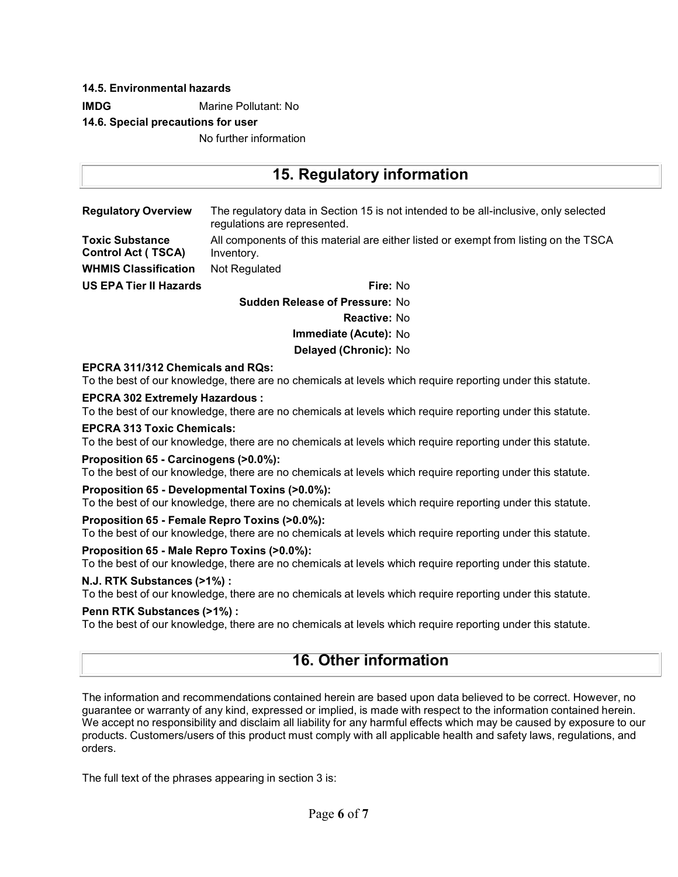### **14.5. Environmental hazards**

**IMDG** Marine Pollutant: No

### **14.6. Special precautions for user**

No further information

| 15. Regulatory information                          |                                                                                                                      |  |  |
|-----------------------------------------------------|----------------------------------------------------------------------------------------------------------------------|--|--|
| <b>Regulatory Overview</b>                          | The regulatory data in Section 15 is not intended to be all-inclusive, only selected<br>regulations are represented. |  |  |
| <b>Toxic Substance</b><br><b>Control Act (TSCA)</b> | All components of this material are either listed or exempt from listing on the TSCA<br>Inventory.                   |  |  |
| <b>WHMIS Classification</b>                         | Not Regulated                                                                                                        |  |  |
| <b>US EPA Tier II Hazards</b>                       | Fire: No                                                                                                             |  |  |
|                                                     | <b>Sudden Release of Pressure: No</b>                                                                                |  |  |
|                                                     | <b>Reactive: No</b>                                                                                                  |  |  |
|                                                     | Immediate (Acute): No                                                                                                |  |  |
|                                                     | Delayed (Chronic): No                                                                                                |  |  |

### **EPCRA 311/312 Chemicals and RQs:**

To the best of our knowledge, there are no chemicals at levels which require reporting under this statute.

#### **EPCRA 302 Extremely Hazardous :**

To the best of our knowledge, there are no chemicals at levels which require reporting under this statute.

#### **EPCRA 313 Toxic Chemicals:**

To the best of our knowledge, there are no chemicals at levels which require reporting under this statute.

#### **Proposition 65 - Carcinogens (>0.0%):**

To the best of our knowledge, there are no chemicals at levels which require reporting under this statute.

### **Proposition 65 - Developmental Toxins (>0.0%):**

To the best of our knowledge, there are no chemicals at levels which require reporting under this statute.

#### **Proposition 65 - Female Repro Toxins (>0.0%):**

To the best of our knowledge, there are no chemicals at levels which require reporting under this statute.

### **Proposition 65 - Male Repro Toxins (>0.0%):**

To the best of our knowledge, there are no chemicals at levels which require reporting under this statute.

### **N.J. RTK Substances (>1%) :**

To the best of our knowledge, there are no chemicals at levels which require reporting under this statute.

#### **Penn RTK Substances (>1%) :**

To the best of our knowledge, there are no chemicals at levels which require reporting under this statute.

### **16. Other information**

The information and recommendations contained herein are based upon data believed to be correct. However, no guarantee or warranty of any kind, expressed or implied, is made with respect to the information contained herein. We accept no responsibility and disclaim all liability for any harmful effects which may be caused by exposure to our products. Customers/users of this product must comply with all applicable health and safety laws, regulations, and orders.

The full text of the phrases appearing in section 3 is: